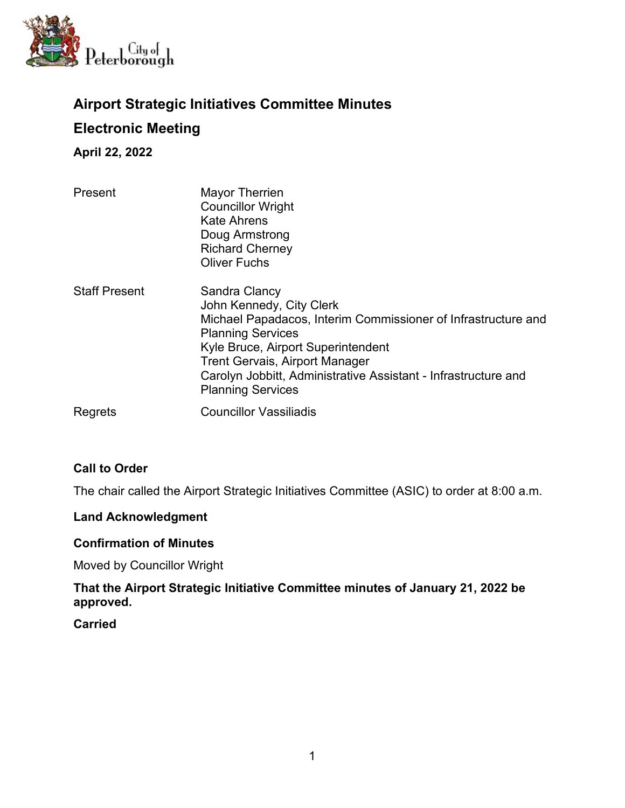

# **Airport Strategic Initiatives Committee Minutes Electronic Meeting**

**April 22, 2022**

| Present              | <b>Mayor Therrien</b><br><b>Councillor Wright</b><br><b>Kate Ahrens</b><br>Doug Armstrong<br><b>Richard Cherney</b><br><b>Oliver Fuchs</b>                                                                                                                                                                          |
|----------------------|---------------------------------------------------------------------------------------------------------------------------------------------------------------------------------------------------------------------------------------------------------------------------------------------------------------------|
| <b>Staff Present</b> | Sandra Clancy<br>John Kennedy, City Clerk<br>Michael Papadacos, Interim Commissioner of Infrastructure and<br><b>Planning Services</b><br>Kyle Bruce, Airport Superintendent<br><b>Trent Gervais, Airport Manager</b><br>Carolyn Jobbitt, Administrative Assistant - Infrastructure and<br><b>Planning Services</b> |
| Regrets              | <b>Councillor Vassiliadis</b>                                                                                                                                                                                                                                                                                       |

# **Call to Order**

The chair called the Airport Strategic Initiatives Committee (ASIC) to order at 8:00 a.m.

### **Land Acknowledgment**

### **Confirmation of Minutes**

Moved by Councillor Wright

# **That the Airport Strategic Initiative Committee minutes of January 21, 2022 be approved.**

### **Carried**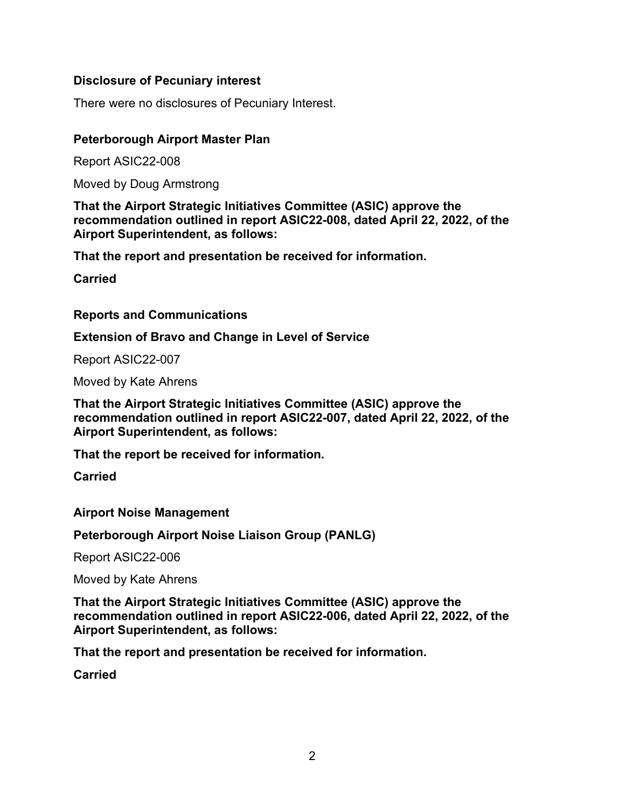# **Disclosure of Pecuniary interest**

There were no disclosures of Pecuniary Interest.

# **Peterborough Airport Master Plan**

Report ASIC22-008

Moved by Doug Armstrong

**That the Airport Strategic Initiatives Committee (ASIC) approve the recommendation outlined in report ASIC22-008, dated April 22, 2022, of the Airport Superintendent, as follows:**

**That the report and presentation be received for information.**

**Carried**

# **Reports and Communications**

**Extension of Bravo and Change in Level of Service**

Report ASIC22-007

Moved by Kate Ahrens

**That the Airport Strategic Initiatives Committee (ASIC) approve the recommendation outlined in report ASIC22-007, dated April 22, 2022, of the Airport Superintendent, as follows:**

**That the report be received for information.**

**Carried**

**Airport Noise Management**

**Peterborough Airport Noise Liaison Group (PANLG)**

Report ASIC22-006

Moved by Kate Ahrens

**That the Airport Strategic Initiatives Committee (ASIC) approve the recommendation outlined in report ASIC22-006, dated April 22, 2022, of the Airport Superintendent, as follows:**

**That the report and presentation be received for information.**

**Carried**